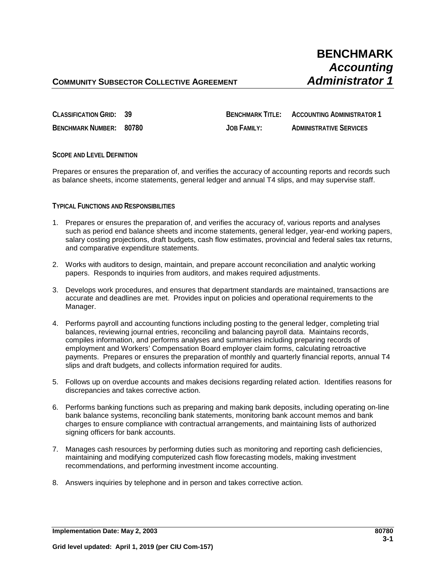# **BENCHMARK** *Accounting*

## **COMMUNITY SUBSECTOR COLLECTIVE AGREEMENT** *Administrator 1*

**CLASSIFICATION GRID: 39 BENCHMARK TITLE: ACCOUNTING ADMINISTRATOR 1**

**BENCHMARK NUMBER: 80780 JOB FAMILY: ADMINISTRATIVE SERVICES**

**SCOPE AND LEVEL DEFINITION**

Prepares or ensures the preparation of, and verifies the accuracy of accounting reports and records such as balance sheets, income statements, general ledger and annual T4 slips, and may supervise staff.

### **TYPICAL FUNCTIONS AND RESPONSIBILITIES**

- 1. Prepares or ensures the preparation of, and verifies the accuracy of, various reports and analyses such as period end balance sheets and income statements, general ledger, year-end working papers, salary costing projections, draft budgets, cash flow estimates, provincial and federal sales tax returns, and comparative expenditure statements.
- 2. Works with auditors to design, maintain, and prepare account reconciliation and analytic working papers. Responds to inquiries from auditors, and makes required adjustments.
- 3. Develops work procedures, and ensures that department standards are maintained, transactions are accurate and deadlines are met. Provides input on policies and operational requirements to the Manager.
- 4. Performs payroll and accounting functions including posting to the general ledger, completing trial balances, reviewing journal entries, reconciling and balancing payroll data. Maintains records, compiles information, and performs analyses and summaries including preparing records of employment and Workers' Compensation Board employer claim forms, calculating retroactive payments. Prepares or ensures the preparation of monthly and quarterly financial reports, annual T4 slips and draft budgets, and collects information required for audits.
- 5. Follows up on overdue accounts and makes decisions regarding related action. Identifies reasons for discrepancies and takes corrective action.
- 6. Performs banking functions such as preparing and making bank deposits, including operating on-line bank balance systems, reconciling bank statements, monitoring bank account memos and bank charges to ensure compliance with contractual arrangements, and maintaining lists of authorized signing officers for bank accounts.
- 7. Manages cash resources by performing duties such as monitoring and reporting cash deficiencies, maintaining and modifying computerized cash flow forecasting models, making investment recommendations, and performing investment income accounting.
- 8. Answers inquiries by telephone and in person and takes corrective action.